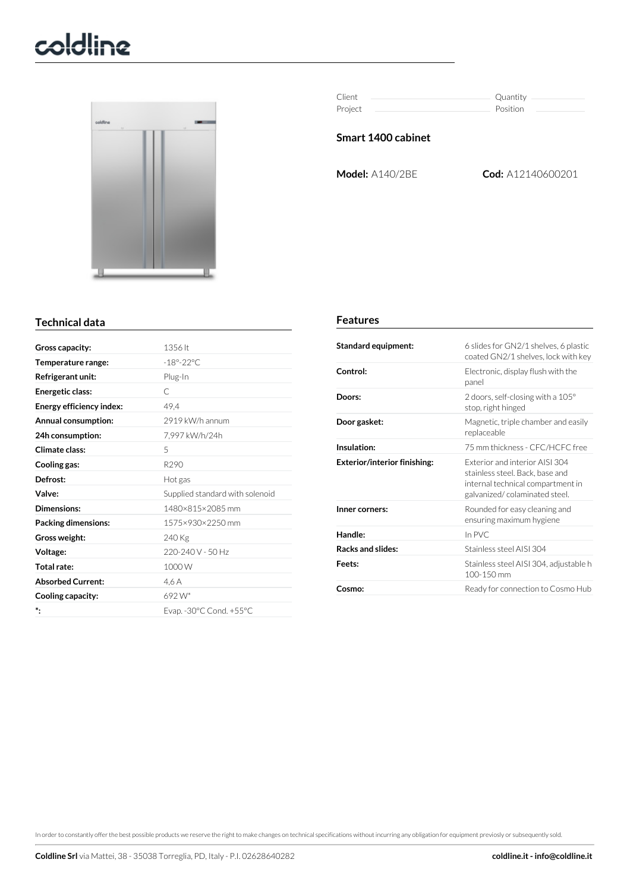# coldline



| Client  | Quantity |
|---------|----------|
| Project | Position |

## **Smart 1400 cabinet**

**Model:** A140/2BE **Cod:** A12140600201

## **Technical data**

| Gross capacity:          | 1356 lt                         |
|--------------------------|---------------------------------|
| Temperature range:       | $-18^\circ - 22^\circ$ C        |
| Refrigerant unit:        | Plug-In                         |
| Energetic class:         | C                               |
| Energy efficiency index: | 49.4                            |
| Annual consumption:      | 2919 kW/h annum                 |
| 24h consumption:         | 7,997 kW/h/24h                  |
| Climate class:           | 5                               |
| Cooling gas:             | R <sub>290</sub>                |
| Defrost:                 | Hot gas                         |
| Valve:                   | Supplied standard with solenoid |
| Dimensions:              | 1480×815×2085 mm                |
| Packing dimensions:      | 1575×930×2250 mm                |
| Gross weight:            | 240 Kg                          |
| Voltage:                 | $220 - 240$ V - 50 Hz           |
| Total rate:              | 1000W                           |
| <b>Absorbed Current:</b> | 4.6 A                           |
| Cooling capacity:        | $692 W^*$                       |
| *.                       | Evap. - 30°C Cond. + 55°C       |
|                          |                                 |

#### **Features**

| Standard equipment:                 | 6 slides for GN2/1 shelves, 6 plastic<br>coated GN2/1 shelves, lock with key                                                           |
|-------------------------------------|----------------------------------------------------------------------------------------------------------------------------------------|
| Control:                            | Electronic, display flush with the<br>panel                                                                                            |
| Doors:                              | 2 doors, self-closing with a $105^{\circ}$<br>stop, right hinged                                                                       |
| Door gasket:                        | Magnetic, triple chamber and easily<br>replaceable                                                                                     |
| Insulation:                         | 75 mm thickness - CFC/HCFC free                                                                                                        |
| <b>Exterior/interior finishing:</b> | Exterior and interior AISL304<br>stainless steel. Back, base and<br>internal technical compartment in<br>galvanized/colaminated steel. |
| Inner corners:                      | Rounded for easy cleaning and<br>ensuring maximum hygiene                                                                              |
| Handle:                             | In PVC                                                                                                                                 |
| <b>Racks and slides:</b>            | Stainless steel AISL304                                                                                                                |
| Feets:                              | Stainless steel AISI 304, adjustable h<br>100-150 mm                                                                                   |
| Cosmo:                              | Ready for connection to Cosmo Hub                                                                                                      |

In orderto constantly offerthe best possible products we reserve the right to make changes on technical specifications without incurring any obligation for equipment previosly or subsequently sold.